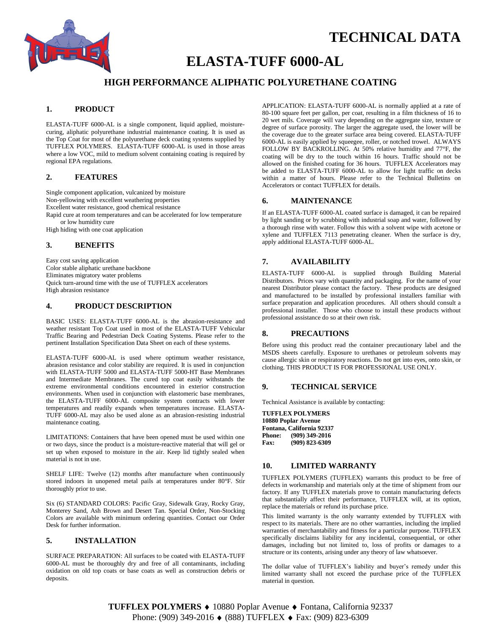

# **TECHNICAL DATA**

# **ELASTA-TUFF 6000-AL**

# **HIGH PERFORMANCE ALIPHATIC POLYURETHANE COATING**

## **1. PRODUCT**

ELASTA-TUFF 6000-AL is a single component, liquid applied, moisturecuring, aliphatic polyurethane industrial maintenance coating. It is used as the Top Coat for most of the polyurethane deck coating systems supplied by TUFFLEX POLYMERS. ELASTA-TUFF 6000-AL is used in those areas where a low VOC, mild to medium solvent containing coating is required by regional EPA regulations.

#### **2. FEATURES**

Single component application, vulcanized by moisture Non-yellowing with excellent weathering properties Excellent water resistance, good chemical resistance Rapid cure at room temperatures and can be accelerated for low temperature or low humidity cure

High hiding with one coat application

### **3. BENEFITS**

Easy cost saving application Color stable aliphatic urethane backbone Eliminates migratory water problems Quick turn-around time with the use of TUFFLEX accelerators High abrasion resistance

#### **4. PRODUCT DESCRIPTION**

BASIC USES: ELASTA-TUFF 6000-AL is the abrasion-resistance and weather resistant Top Coat used in most of the ELASTA-TUFF Vehicular Traffic Bearing and Pedestrian Deck Coating Systems. Please refer to the pertinent Installation Specification Data Sheet on each of these systems.

ELASTA-TUFF 6000-AL is used where optimum weather resistance, abrasion resistance and color stability are required. It is used in conjunction with ELASTA-TUFF 5000 and ELASTA-TUFF 5000-HT Base Membranes and Intermediate Membranes. The cured top coat easily withstands the extreme environmental conditions encountered in exterior construction environments. When used in conjunction with elastomeric base membranes, the ELASTA-TUFF 6000-AL composite system contracts with lower temperatures and readily expands when temperatures increase. ELASTA-TUFF 6000-AL may also be used alone as an abrasion-resisting industrial maintenance coating.

LIMITATIONS: Containers that have been opened must be used within one or two days, since the product is a moisture-reactive material that will gel or set up when exposed to moisture in the air. Keep lid tightly sealed when material is not in use.

SHELF LIFE: Twelve (12) months after manufacture when continuously stored indoors in unopened metal pails at temperatures under 80°F. Stir thoroughly prior to use.

Six (6) STANDARD COLORS: Pacific Gray, Sidewalk Gray, Rocky Gray, Monterey Sand, Ash Brown and Desert Tan. Special Order, Non-Stocking Colors are available with minimum ordering quantities. Contact our Order Desk for further information.

### **5. INSTALLATION**

SURFACE PREPARATION: All surfaces to be coated with ELASTA-TUFF 6000-AL must be thoroughly dry and free of all contaminants, including oxidation on old top coats or base coats as well as construction debris or deposits.

APPLICATION: ELASTA-TUFF 6000-AL is normally applied at a rate of 80-100 square feet per gallon, per coat, resulting in a film thickness of 16 to 20 wet mils. Coverage will vary depending on the aggregate size, texture or degree of surface porosity. The larger the aggregate used, the lower will be the coverage due to the greater surface area being covered. ELASTA-TUFF 6000-AL is easily applied by squeegee, roller, or notched trowel. ALWAYS FOLLOW BY BACKROLLING. At 50% relative humidity and 77°F, the coating will be dry to the touch within 16 hours. Traffic should not be allowed on the finished coating for 36 hours. TUFFLEX Accelerators may be added to ELASTA-TUFF 6000-AL to allow for light traffic on decks within a matter of hours. Please refer to the Technical Bulletins on Accelerators or contact TUFFLEX for details.

#### **6. MAINTENANCE**

If an ELASTA-TUFF 6000-AL coated surface is damaged, it can be repaired by light sanding or by scrubbing with industrial soap and water, followed by a thorough rinse with water. Follow this with a solvent wipe with acetone or xylene and TUFFLEX 7113 penetrating cleaner*.* When the surface is dry, apply additional ELASTA-TUFF 6000-AL.

# **7. AVAILABILITY**

ELASTA-TUFF 6000-AL is supplied through Building Material Distributors. Prices vary with quantity and packaging. For the name of your nearest Distributor please contact the factory. These products are designed and manufactured to be installed by professional installers familiar with surface preparation and application procedures. All others should consult a professional installer. Those who choose to install these products without professional assistance do so at their own risk.

#### **8. PRECAUTIONS**

Before using this product read the container precautionary label and the MSDS sheets carefully. Exposure to urethanes or petroleum solvents may cause allergic skin or respiratory reactions. Do not get into eyes, onto skin, or clothing. THIS PRODUCT IS FOR PROFESSIONAL USE ONLY.

#### **9. TECHNICAL SERVICE**

Technical Assistance is available by contacting:

**TUFFLEX POLYMERS 10880 Poplar Avenue Fontana, California 92337 Phone: (909) 349-2016 Fax: (909) 823-6309**

#### **10. LIMITED WARRANTY**

TUFFLEX POLYMERS (TUFFLEX) warrants this product to be free of defects in workmanship and materials only at the time of shipment from our factory. If any TUFFLEX materials prove to contain manufacturing defects that substantially affect their performance, TUFFLEX will, at its option, replace the materials or refund its purchase price.

This limited warranty is the only warranty extended by TUFFLEX with respect to its materials. There are no other warranties, including the implied warranties of merchantability and fitness for a particular purpose. TUFFLEX specifically disclaims liability for any incidental, consequential, or other damages, including but not limited to, loss of profits or damages to a structure or its contents, arising under any theory of law whatsoever.

The dollar value of TUFFLEX's liability and buyer's remedy under this limited warranty shall not exceed the purchase price of the TUFFLEX material in question.

TUFFLEX POLYMERS ♦ 10880 Poplar Avenue ♦ Fontana, California 92337 Phone: (909) 349-2016 (888) TUFFLEX  $\triangleleft$  Fax: (909) 823-6309